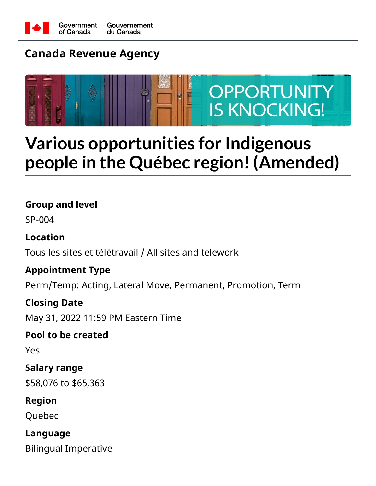

# **Canada Revenue Agency**



# **Various opportunities for Indigenous people in the Québec region! (Amended)**

### **Group and level**

SP-004

## **Location**

Tous les sites et télétravail / All sites and telework

### **Appointment Type**

Perm/Temp: Acting, Lateral Move, Permanent, Promotion, Term

### **Closing Date**

May 31, 2022 11:59 PM Eastern Time

### **Pool to be created**

Yes

## **Salary range**

\$58,076 to \$65,363

### **Region**

Quebec

## **Language**

Bilingual Imperative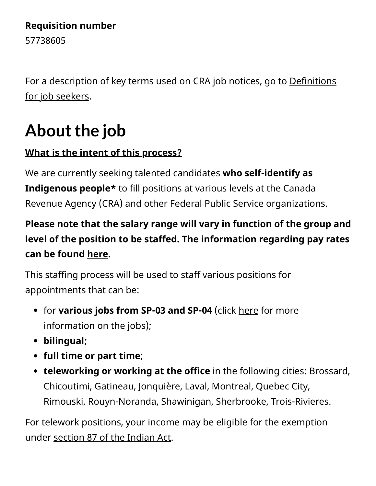### **Requisition number**

57738605

[For a description of key terms used on CRA job notices, go to Definitions](https://www.canada.ca/en/revenue-agency/corporate/careers-cra/browse-job-types/definitions-job-seekers.html) for job seekers.

# About the job

## **What is the intent of this process?**

We are currently seeking talented candidates **who self-identify as Indigenous people\*** to fill positions at various levels at the Canada Revenue Agency (CRA) and other Federal Public Service organizations.

# **Please note that the salary range will vary in function of the group and level of the position to be staffed. The information regarding pay rates can be found [here](https://www.canada.ca/en/revenue-agency/corporate/careers-cra/information-moved/pay-rates.html).**

This staffing process will be used to staff various positions for appointments that can be:

- for **various jobs from SP-03 and SP-04** (click [here](http://www.canada.ca/en/revenue-agency/corporate/careers-cra/browse-job-types.html) for more information on the jobs);
- **bilingual;**
- **full time or part time**;
- **teleworking or working at the office** in the following cities: Brossard, Chicoutimi, Gatineau, Jonquière, Laval, Montreal, Quebec City, Rimouski, Rouyn-Noranda, Shawinigan, Sherbrooke, Trois-Rivieres.

For telework positions, your income may be eligible for the exemption under [section 87 of the Indian Act.](https://www.canada.ca/en/revenue-agency/services/aboriginal-peoples/information-indians.html)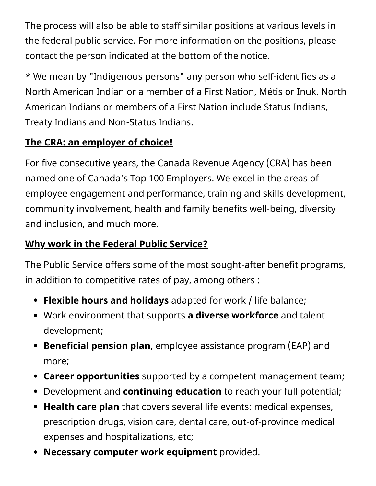The process will also be able to staff similar positions at various levels in the federal public service. For more information on the positions, please contact the person indicated at the bottom of the notice.

\* We mean by "Indigenous persons" any person who self-identifies as a North American Indian or a member of a First Nation, Métis or Inuk. North American Indians or members of a First Nation include Status Indians, Treaty Indians and Non-Status Indians.

## **The CRA: an employer of choice!**

For five consecutive years, the Canada Revenue Agency (CRA) has been named one of Canada['s Top 100 Employers.](https://www.canada.ca/en/revenue-agency/corporate/careers-cra/careers-cra-1-why-work-us.html/t_blank) We excel in the areas of employee engagement and performance, training and skills development, [community involvement, health and family benefits well-being, diversity](https://www.canada.ca/en/revenue-agency/corporate/careers-cra/employment-equity-diversity-inclusion/employment-equity-diversity-cra.html) and inclusion, and much more.

## **Why work in the Federal Public Service?**

The Public Service offers some of the most sought-after benefit programs, in addition to competitive rates of pay, among others :

- **Flexible hours and holidays** adapted for work / life balance;
- Work environment that supports **a diverse workforce** and talent development;
- **Beneficial pension plan,** employee assistance program (EAP) and more;
- **Career opportunities** supported by a competent management team;
- Development and **continuing education** to reach your full potential;
- **Health care plan** that covers several life events: medical expenses, prescription drugs, vision care, dental care, out-of-province medical expenses and hospitalizations, etc;
- **Necessary computer work equipment** provided.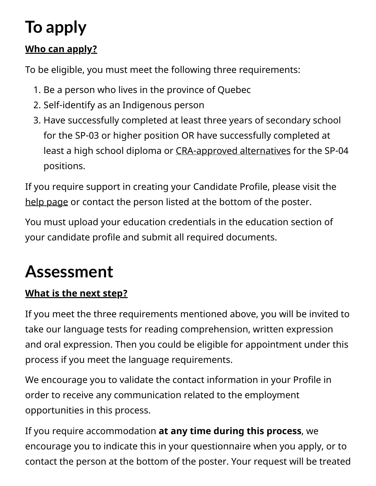# **To apply**

## **Who can apply?**

To be eligible, you must meet the following three requirements:

- 1. Be a person who lives in the province of Quebec
- 2. Self-identify as an Indigenous person
- 3. Have successfully completed at least three years of secondary school for the SP-03 or higher position OR have successfully completed at least a high school diploma or [CRA-approved alternatives](https://www.canada.ca/en/revenue-agency/corporate/careers-cra/browse-job-types/cra-s-minimum-education-standards.html#craapprvd) for the SP-04 positions.

If you require support in creating your Candidate Profile, please visit the [help page](https://www.canada.ca/en/revenue-agency/corporate/careers-cra/browse-job-types/register-careers-cra.html) or contact the person listed at the bottom of the poster.

You must upload your education credentials in the education section of your candidate profile and submit all required documents.

# **Assessment**

## **What is the next step?**

If you meet the three requirements mentioned above, you will be invited to take our language tests for reading comprehension, written expression and oral expression. Then you could be eligible for appointment under this process if you meet the language requirements.

We encourage you to validate the contact information in your Profile in order to receive any communication related to the employment opportunities in this process.

If you require accommodation **at any time during this process**, we encourage you to indicate this in your questionnaire when you apply, or to contact the person at the bottom of the poster. Your request will be treated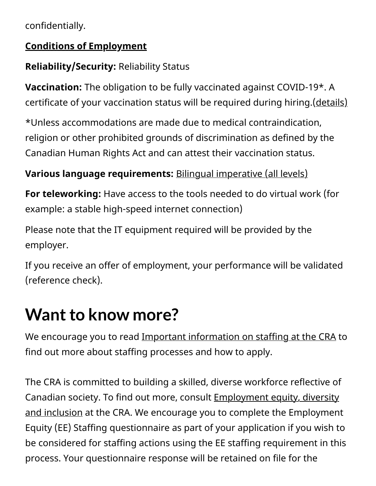confidentially.

### **Conditions of Employment**

## **Reliability/Security:** Reliability Status

**Vaccination:** The obligation to be fully vaccinated against COVID-19\*. A certificate of your vaccination status will be required during hiring. [\(details\)](https://www.canada.ca/en/treasury-board-secretariat/news/2021/10/backgrounder-covid-19-vaccine-requirement-for-the-federal-workforce.html/t_blank/ohttps://www.canada.ca/fr/secretariat-conseil-tresor/nouvelles/2021/10/document-dinformation--exigence-de-vaccination-contre-la-covid-19-pour-les-fonctionnaires-federaux.html)

\*Unless accommodations are made due to medical contraindication, religion or other prohibited grounds of discrimination as defined by the Canadian Human Rights Act and can attest their vaccination status.

## **Various language requirements:** [Bilingual imperative \(all levels\)](https://www.canada.ca/en/public-service-commission/services/second-language-testing-public-service.html)

**For teleworking:** Have access to the tools needed to do virtual work (for example: a stable high-speed internet connection)

Please note that the IT equipment required will be provided by the employer.

If you receive an offer of employment, your performance will be validated (reference check).

# **Want to know more?**

We encourage you to read [Important information on staffing at the CRA](https://www.canada.ca/en/revenue-agency/corporate/careers-cra/browse-job-types/general-information-on-staffing-cra-formerly-called-tips-applying-online.html) to find out more about staffing processes and how to apply.

The CRA is committed to building a skilled, diverse workforce reflective of Canadian society. To find out more, consult **Employment equity, diversity** and inclusion at the CRA. We encourage you to complete the Employment Equity (EE) Staffing questionnaire as part of your application if you wish to be considered for staffing actions using the EE staffing requirement in this process. Your questionnaire response will be retained on file for the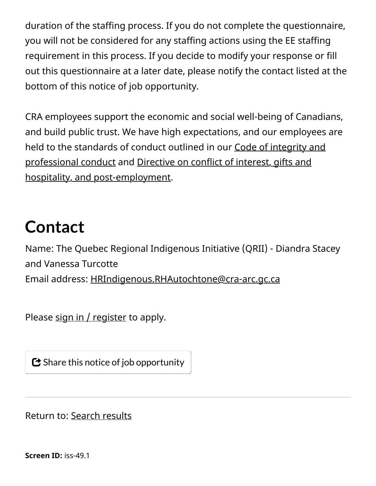duration of the staffing process. If you do not complete the questionnaire, you will not be considered for any staffing actions using the EE staffing requirement in this process. If you decide to modify your response or fill out this questionnaire at a later date, please notify the contact listed at the bottom of this notice of job opportunity.

CRA employees support the economic and social well-being of Canadians, and build public trust. We have high expectations, and our employees are [held to the standards of conduct outlined in our Code of integrity and](https://www.canada.ca/en/revenue-agency/corporate/careers-cra/information-moved/code-integrity-professional-conduct-we-work.html) [professional conduct and Directive on conflict of interest, gifts and](https://www.canada.ca/en/revenue-agency/corporate/careers-cra/information-moved/directive-on-conflict-interest-gifts-hospitality-post-employment.html) hospitality, and post-employment.

# **Contact**

Name: The Quebec Regional Indigenous Initiative (QRII) - Diandra Stacey and Vanessa Turcotte Email address: [HRIndigenous.RHAutochtone@cra-arc.gc.ca](mailto:HRIndigenous.RHAutochtone@cra-arc.gc.ca?subject=57738605%20process)

Please  $sign in / register$  to apply.

 $\bm{\mathbf{\mathcal{C}}}$  Share this notice of job opportunity

Return to: [Search results](https://careers-carrieres.cra-arc.gc.ca/gol-ged/wcis/pub/dsptchjbsrch.action?ifs=&jsc.opd=&jsc.kw=quebec&jsc.ps=001&jsc.gp=&jsc.lv=&__multiselect_jsc.rg=&__multiselect_jsc.lg=&searchButton=Search&rtrnlnk=)

**Screen ID:** iss-49.1